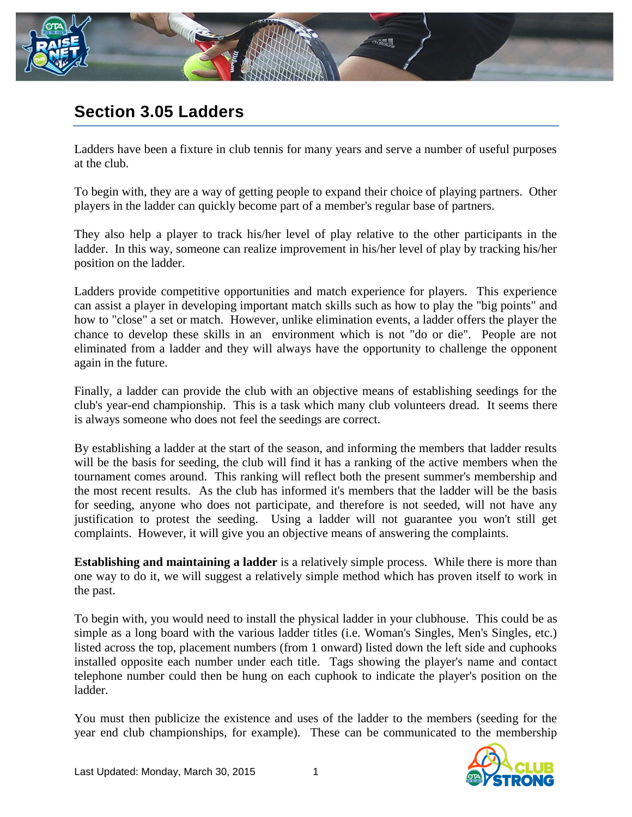

## **Section 3.05 Ladders**

Ladders have been a fixture in club tennis for many years and serve a number of useful purposes at the club.

To begin with, they are a way of getting people to expand their choice of playing partners. Other players in the ladder can quickly become part of a member's regular base of partners.

They also help a player to track his/her level of play relative to the other participants in the ladder. In this way, someone can realize improvement in his/her level of play by tracking his/her position on the ladder.

Ladders provide competitive opportunities and match experience for players. This experience can assist a player in developing important match skills such as how to play the "big points" and how to "close" a set or match. However, unlike elimination events, a ladder offers the player the chance to develop these skills in an environment which is not "do or die". People are not eliminated from a ladder and they will always have the opportunity to challenge the opponent again in the future.

Finally, a ladder can provide the club with an objective means of establishing seedings for the club's year-end championship. This is a task which many club volunteers dread. It seems there is always someone who does not feel the seedings are correct.

By establishing a ladder at the start of the season, and informing the members that ladder results will be the basis for seeding, the club will find it has a ranking of the active members when the tournament comes around. This ranking will reflect both the present summer's membership and the most recent results. As the club has informed it's members that the ladder will be the basis for seeding, anyone who does not participate, and therefore is not seeded, will not have any justification to protest the seeding. Using a ladder will not guarantee you won't still get complaints. However, it will give you an objective means of answering the complaints.

**Establishing and maintaining a ladder** is a relatively simple process. While there is more than one way to do it, we will suggest a relatively simple method which has proven itself to work in the past.

To begin with, you would need to install the physical ladder in your clubhouse. This could be as simple as a long board with the various ladder titles (i.e. Woman's Singles, Men's Singles, etc.) listed across the top, placement numbers (from 1 onward) listed down the left side and cuphooks installed opposite each number under each title. Tags showing the player's name and contact telephone number could then be hung on each cuphook to indicate the player's position on the ladder.

You must then publicize the existence and uses of the ladder to the members (seeding for the year end club championships, for example). These can be communicated to the membership

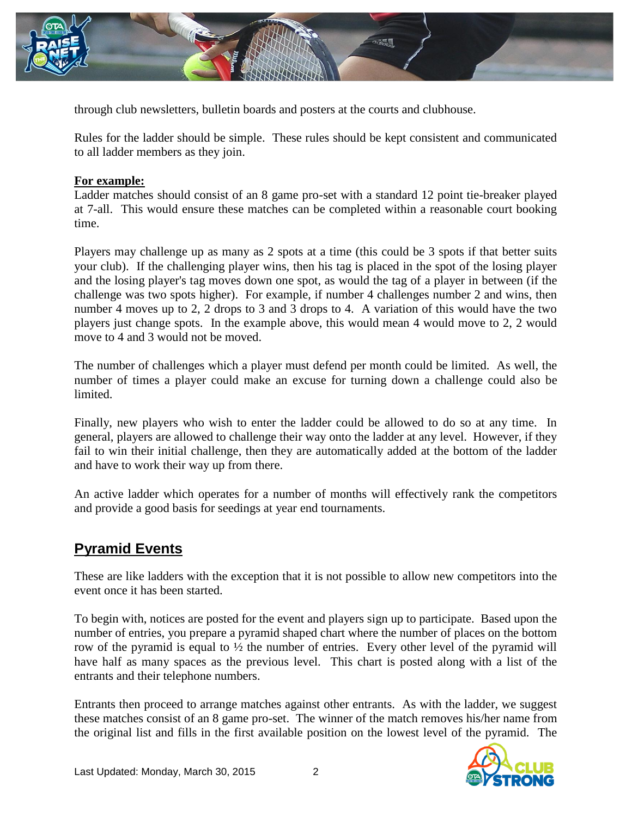

through club newsletters, bulletin boards and posters at the courts and clubhouse.

Rules for the ladder should be simple. These rules should be kept consistent and communicated to all ladder members as they join.

## **For example:**

Ladder matches should consist of an 8 game pro-set with a standard 12 point tie-breaker played at 7-all. This would ensure these matches can be completed within a reasonable court booking time.

Players may challenge up as many as 2 spots at a time (this could be 3 spots if that better suits your club). If the challenging player wins, then his tag is placed in the spot of the losing player and the losing player's tag moves down one spot, as would the tag of a player in between (if the challenge was two spots higher). For example, if number 4 challenges number 2 and wins, then number 4 moves up to 2, 2 drops to 3 and 3 drops to 4. A variation of this would have the two players just change spots. In the example above, this would mean 4 would move to 2, 2 would move to 4 and 3 would not be moved.

The number of challenges which a player must defend per month could be limited. As well, the number of times a player could make an excuse for turning down a challenge could also be limited.

Finally, new players who wish to enter the ladder could be allowed to do so at any time. In general, players are allowed to challenge their way onto the ladder at any level. However, if they fail to win their initial challenge, then they are automatically added at the bottom of the ladder and have to work their way up from there.

An active ladder which operates for a number of months will effectively rank the competitors and provide a good basis for seedings at year end tournaments.

## **Pyramid Events**

These are like ladders with the exception that it is not possible to allow new competitors into the event once it has been started.

To begin with, notices are posted for the event and players sign up to participate. Based upon the number of entries, you prepare a pyramid shaped chart where the number of places on the bottom row of the pyramid is equal to ½ the number of entries. Every other level of the pyramid will have half as many spaces as the previous level. This chart is posted along with a list of the entrants and their telephone numbers.

Entrants then proceed to arrange matches against other entrants. As with the ladder, we suggest these matches consist of an 8 game pro-set. The winner of the match removes his/her name from the original list and fills in the first available position on the lowest level of the pyramid. The